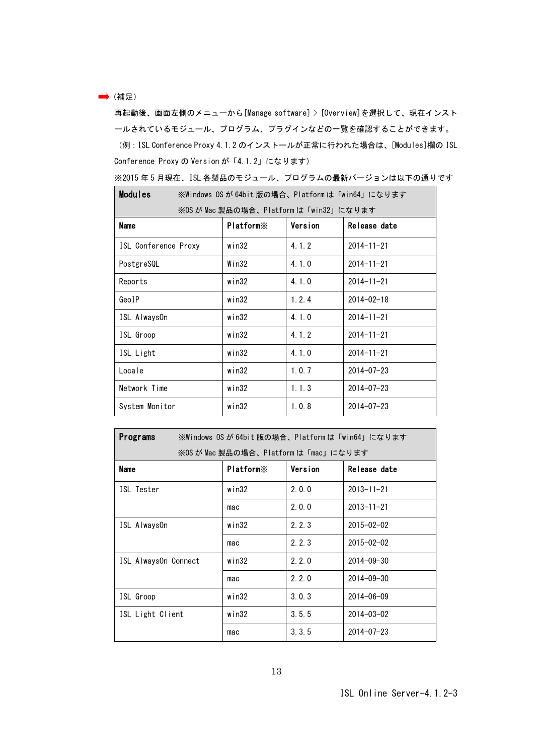## → (補足)

再起動後、画面左側のメニューから[Manage software] > [Overview]を選択して、現在インスト ールされているモジュール、プログラム、プラグインなどの一覧を確認することができます。 (例:ISL Conference Proxy 4.1.2 のインストールが正常に行われた場合は、[Modules]欄の ISL Conference Proxy の Version が「4.1.2」になります)

| ※2015 年 5 月現在、ISL 各製品のモジュール、プログラムの最新バージョンは以下の通りです |  |  |  |
|---------------------------------------------------|--|--|--|
|---------------------------------------------------|--|--|--|

| Modules                                | ※Windows OSが 64bit 版の場合、Platformは「win64」になります |         |                  |  |
|----------------------------------------|-----------------------------------------------|---------|------------------|--|
| ※OS が Mac 製品の場合、Platform は「win32」になります |                                               |         |                  |  |
| Name                                   | <b>Platform</b> <sup>×</sup>                  | Version | Release date     |  |
| ISL Conference Proxy                   | win32                                         | 4.1.2   | $2014 - 11 - 21$ |  |
| PostgreSQL                             | Win32                                         | 4.1.0   | $2014 - 11 - 21$ |  |
| Reports                                | win32                                         | 4.1.0   | $2014 - 11 - 21$ |  |
| GeoIP                                  | win32                                         | 1, 2, 4 | $2014 - 02 - 18$ |  |
| ISL AlwaysOn                           | win32                                         | 4.1.0   | $2014 - 11 - 21$ |  |
| ISL Groop                              | win32                                         | 4.1.2   | $2014 - 11 - 21$ |  |
| ISL Light                              | win32                                         | 4.1.0   | $2014 - 11 - 21$ |  |
| Locale                                 | win32                                         | 1.0.7   | $2014 - 07 - 23$ |  |
| Network Time                           | win32                                         | 1.1.3   | $2014 - 07 - 23$ |  |
| System Monitor                         | win32                                         | 1.0.8   | $2014 - 07 - 23$ |  |

| Programs                             | ※Windows OSが64bit版の場合、Platformは「win64」になります |         |                  |  |
|--------------------------------------|---------------------------------------------|---------|------------------|--|
| ※OS が Mac 製品の場合、Platform は「mac」になります |                                             |         |                  |  |
| Name                                 | Platform <sup>*</sup>                       | Version | Release date     |  |
| ISL Tester                           | win32                                       | 2.0.0   | $2013 - 11 - 21$ |  |
|                                      | mac                                         | 2.0.0   | $2013 - 11 - 21$ |  |
| ISL AlwaysOn                         | win32                                       | 2.2.3   | $2015 - 02 - 02$ |  |
|                                      | mac                                         | 2, 2, 3 | $2015 - 02 - 02$ |  |
| ISL AlwaysOn Connect                 | win32                                       | 2.2.0   | $2014 - 09 - 30$ |  |
|                                      | mac                                         | 2.2.0   | $2014 - 09 - 30$ |  |
| ISL Groop                            | win32                                       | 3.0.3   | $2014 - 06 - 09$ |  |
| ISL Light Client                     | win32                                       | 3.5.5   | $2014 - 03 - 02$ |  |
|                                      | mac                                         | 3.3.5   | $2014 - 07 - 23$ |  |